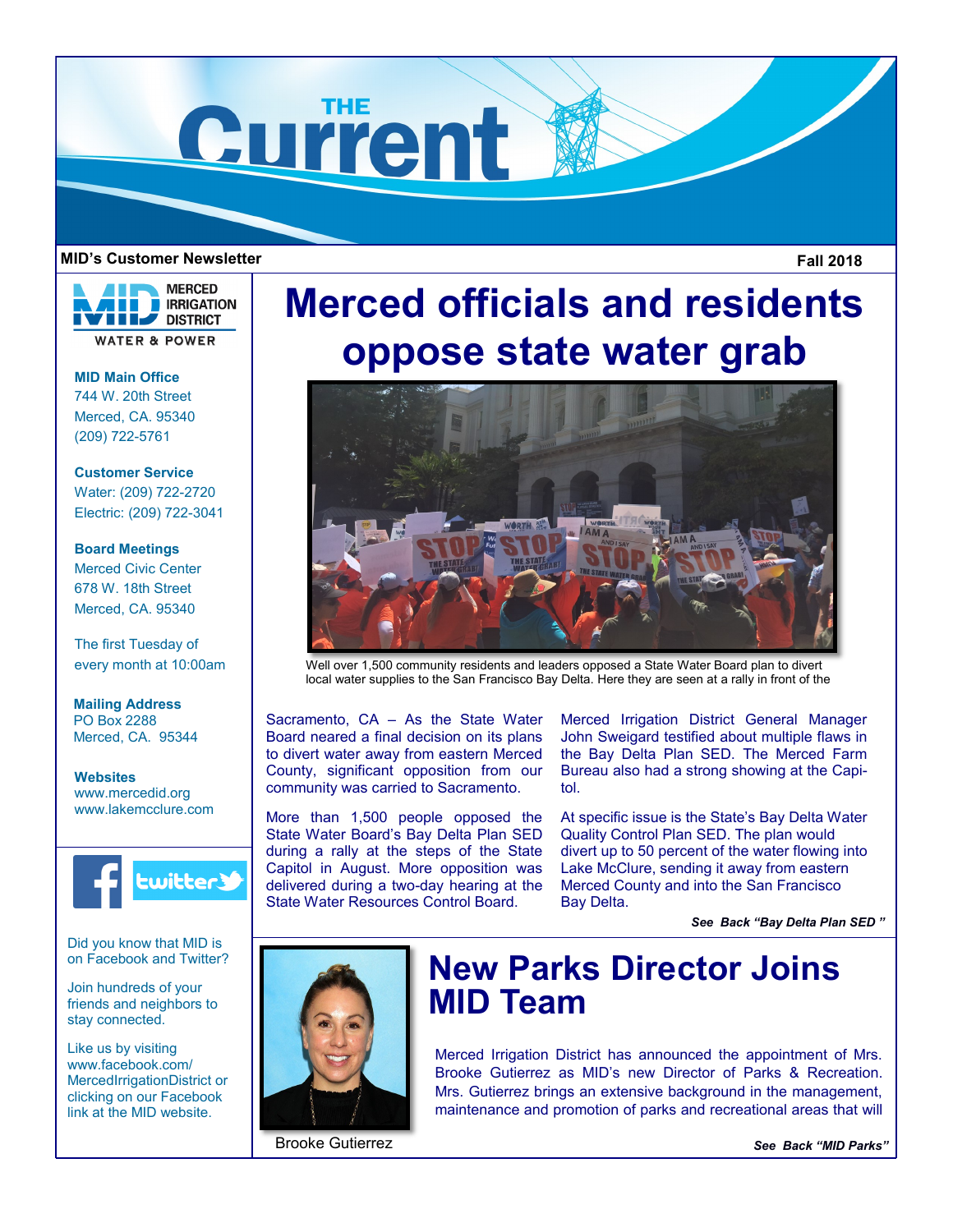

## **MID's Customer Newsletter Fall 2018**

**MERCED E** IRRIGATION **DISTRICT WATER & POWER** 

**MID Main Office** 744 W. 20th Street Merced, CA. 95340 (209) 722-5761

**Customer Service** Water: (209) 722-2720 Electric: (209) 722-3041

**Board Meetings** Merced Civic Center 678 W. 18th Street Merced, CA. 95340

The first Tuesday of every month at 10:00am

**Mailing Address** PO Box 2288 Merced, CA. 95344

**Websites** www.mercedid.org www.lakemcclure.com



Did you know that MID is on Facebook and Twitter?

Join hundreds of your friends and neighbors to stay connected.

Like us by visiting www.facebook.com/ MercedIrrigationDistrict or clicking on our Facebook link at the MID website.

# **Merced officials and residents oppose state water grab**



Well over 1,500 community residents and leaders opposed a State Water Board plan to divert local water supplies to the San Francisco Bay Delta. Here they are seen at a rally in front of the

Sacramento, CA – As the State Water Board neared a final decision on its plans to divert water away from eastern Merced County, significant opposition from our community was carried to Sacramento.

More than 1,500 people opposed the State Water Board's Bay Delta Plan SED during a rally at the steps of the State Capitol in August. More opposition was delivered during a two-day hearing at the State Water Resources Control Board.

Merced Irrigation District General Manager John Sweigard testified about multiple flaws in the Bay Delta Plan SED. The Merced Farm Bureau also had a strong showing at the Capitol.

At specific issue is the State's Bay Delta Water Quality Control Plan SED. The plan would divert up to 50 percent of the water flowing into Lake McClure, sending it away from eastern Merced County and into the San Francisco Bay Delta.

*See Back "Bay Delta Plan SED "* 



# **New Parks Director Joins MID Team**

Merced Irrigation District has announced the appointment of Mrs. Brooke Gutierrez as MID's new Director of Parks & Recreation. Mrs. Gutierrez brings an extensive background in the management, maintenance and promotion of parks and recreational areas that will

Brooke Gutierrez

*See Back "MID Parks"*